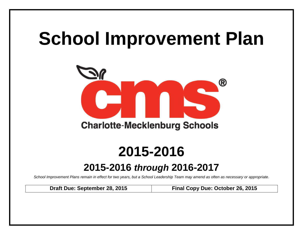# **School Improvement Plan**



## **2015-2016**

### **2015-2016** *through* **2016-2017**

*School Improvement Plans remain in effect for two years, but a School Leadership Team may amend as often as necessary or appropriate.*

**Draft Due: September 28, 2015 Final Copy Due: October 26, 2015**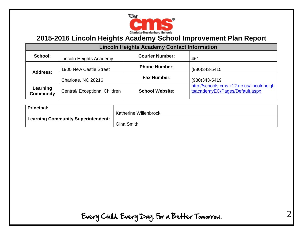

| <b>Lincoln Heights Academy Contact Information</b> |                               |                        |                                                                             |  |  |  |  |  |  |  |
|----------------------------------------------------|-------------------------------|------------------------|-----------------------------------------------------------------------------|--|--|--|--|--|--|--|
| School:                                            | Lincoln Heights Academy       | <b>Courier Number:</b> | 461                                                                         |  |  |  |  |  |  |  |
| <b>Address:</b>                                    | 1900 New Castle Street        | <b>Phone Number:</b>   | $(980)343 - 5415$                                                           |  |  |  |  |  |  |  |
|                                                    | Charlotte, NC 28216           | <b>Fax Number:</b>     | $(980)343 - 5419$                                                           |  |  |  |  |  |  |  |
| Learning<br><b>Community</b>                       | Central/ Exceptional Children | <b>School Website:</b> | http://schools.cms.k12.nc.us/lincolnheigh<br>tsacademyEC/Pages/Default.aspx |  |  |  |  |  |  |  |

| Principal:                                      |                              |
|-------------------------------------------------|------------------------------|
|                                                 | <b>Katherine Willenbrock</b> |
| <sup>1</sup> Learning Community Superintendent: |                              |
|                                                 | Gina Smith                   |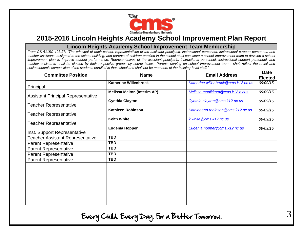

#### **Lincoln Heights Academy School Improvement Team Membership**

*From GS §115C-105.27: "The principal of each school, representatives of the assistant principals, instructional personnel, instructional support personnel, and teacher assistants assigned to the school building, and parents of children enrolled in the school shall constitute a school improvement team to develop a school improvement plan to improve student performance. Representatives of the assistant principals, instructional personnel, instructional support personnel, and teacher assistants shall be elected by their respective groups by secret ballot....Parents serving on school improvement teams shall reflect the racial and socioeconomic composition of the students enrolled in that school and shall not be members of the building-level staff."*

| <b>Committee Position</b>                 | <b>Name</b>                        | <b>Email Address</b>                | <b>Date</b><br><b>Elected</b> |
|-------------------------------------------|------------------------------------|-------------------------------------|-------------------------------|
| Principal                                 | <b>Katherine Willenbrock</b>       | Katherine.willenbrock@cms.k12.nc.us | 09/09/15                      |
| <b>Assistant Principal Representative</b> | <b>Melissa Melton (Interim AP)</b> | Melissa.manikkam@cms.k12.n.cus      | 09/09/15                      |
| <b>Teacher Representative</b>             | <b>Cynthia Clayton</b>             | Cynthia.clayton@cms.k12.nc.us       | 09/09/15                      |
| <b>Teacher Representative</b>             | Kathleen Robinson                  | Kathleeenp.robinson@cms.k12.nc.us   | 09/09/15                      |
| <b>Teacher Representative</b>             | <b>Keith White</b>                 | k.white@cms.k12.nc.us               | 09/09/15                      |
| Inst. Support Representative              | <b>Eugenia Hopper</b>              | Eugenia.hopper@cms.k12.nc.us        | 09/09/15                      |
| <b>Teacher Assistant Representative</b>   | TBD                                |                                     |                               |
| <b>Parent Representative</b>              | TBD                                |                                     |                               |
| <b>Parent Representative</b>              | <b>TBD</b>                         |                                     |                               |
| <b>Parent Representative</b>              | <b>TBD</b>                         |                                     |                               |
| <b>Parent Representative</b>              | TBD                                |                                     |                               |
|                                           |                                    |                                     |                               |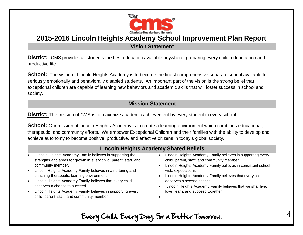

**Vision Statement**

**District:** CMS provides all students the best education available anywhere, preparing every child to lead a rich and productive life.

**School:** The vision of Lincoln Heights Academy is to become the finest comprehensive separate school available for seriously emotionally and behaviorally disabled students. An important part of the vision is the strong belief that exceptional children are capable of learning new behaviors and academic skills that will foster success in school and society.

#### **Mission Statement**

**District:** The mission of CMS is to maximize academic achievement by every student in every school.

**School:** Our mission at Lincoln Heights Academy is to create a learning environment which combines educational, therapeutic, and community efforts. We empower Exceptional Children and their families with the ability to develop and achieve autonomy to become positive, productive, and effective citizens in today's global society.

#### **Lincoln Heights Academy Shared Beliefs**

- Lincoln Heights Academy Family believes in supporting the strengths and areas for growth in every child, parent, staff, and community member.
- Lincoln Heights Academy Family believes in a nurturing and enriching therapeutic learning environment.
- Lincoln Heights Academy Family believes that every child deserves a chance to succeed.
- Lincoln Heights Academy Family believes in supporting every child, parent, staff, and community member.
- Lincoln Heights Academy Family believes in supporting every child, parent, staff, and community member.
- Lincoln Heights Academy Family believes in consistent schoolwide expectations.
- Lincoln Heights Academy Family believes that every child deserves a second chance
- Lincoln Heights Academy Family believes that we shall live, love, learn, and succeed together
- $\bullet$  $\bullet$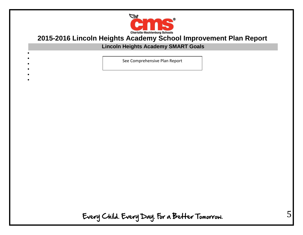

### **Lincoln Heights Academy SMART Goals**

See Comprehensive Plan Report

 $\bullet$ 

 $\bullet$  $\bullet$ 

 $\bullet$  $\bullet$ 

- 
-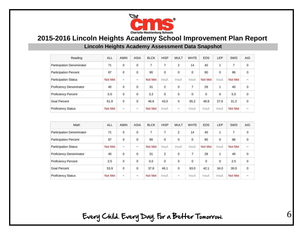

**Lincoln Heights Academy Assessment Data Snapshot**

| Reading                          | <b>ALL</b>     | <b>AMIN</b>           | <b>ASIA</b>           | <b>BLCK</b>    | <b>HISP</b> | <b>MULT</b>           | <b>WHTE</b>    | <b>EDS</b> | <b>LEP</b> | <b>SWD</b>     | <b>AIG</b>            |
|----------------------------------|----------------|-----------------------|-----------------------|----------------|-------------|-----------------------|----------------|------------|------------|----------------|-----------------------|
| <b>Participation Denominator</b> | 71             | $\Omega$              | 0                     | $\overline{7}$ | 7           | 2                     | 14             | 40         | 4          | 7              | 0                     |
| <b>Participation Percent</b>     | 87             | $\mathbf 0$           | $\mathbf 0$           | 90             | 0           | $\Omega$              | 0              | 90         | 0          | 86             | 0                     |
| <b>Participation Status</b>      | <b>Not Met</b> | $\tilde{\phantom{a}}$ | $\tilde{\phantom{a}}$ | Not Met        | Insuf.      | Insuf.                | Insuf.         | Not Met    | Insuf.     | Not Met        | $\tilde{\phantom{a}}$ |
| Proficiency Denominator          | 40             | $\Omega$              | $\Omega$              | 31             | 2           | $\Omega$              | $\overline{7}$ | 28         | 4          | 40             | $\mathbf 0$           |
| <b>Proficiency Percent</b>       | 5.0            | 0                     | 0                     | 3.2            | 0           | $\Omega$              | 0              | $\Omega$   | $\Omega$   | 5.0            | 0                     |
| <b>Goal Percent</b>              | 61.9           | $\Omega$              | $\Omega$              | 46.6           | 43.0        | $\Omega$              | 65.2           | 48.8       | 27.6       | 31.2           | 0                     |
| <b>Proficiency Status</b>        | <b>Not Met</b> | $\tilde{\phantom{a}}$ | $\tilde{\phantom{a}}$ | <b>Not Met</b> | Insuf.      | $\tilde{\phantom{a}}$ | Insuf.         | Insuf.     | Insuf.     | <b>Not Met</b> | $\tilde{\phantom{a}}$ |

| Math                             | <b>ALL</b>     | <b>AMIN</b>           | <b>ASIA</b>           | <b>BLCK</b>    | <b>HISP</b>    | <b>MULT</b>           | <b>WHTE</b> | <b>EDS</b> | <b>LEP</b> | <b>SWD</b>     | <b>AIG</b>            |
|----------------------------------|----------------|-----------------------|-----------------------|----------------|----------------|-----------------------|-------------|------------|------------|----------------|-----------------------|
| <b>Participation Denominator</b> | 71             | $\Omega$              | 0                     | 7              | 7              | 2                     | 14          | 40         |            | 7              | 0                     |
| <b>Participation Percent</b>     | 87             | 0                     | 0                     | 90             | $\mathbf 0$    | $\Omega$              | $\mathbf 0$ | 90         | 0          | 86             | 0                     |
| <b>Participation Status</b>      | Not Met        | $\tilde{\phantom{a}}$ | $\tilde{\phantom{a}}$ | <b>Not Met</b> | Insuf.         | Insuf.                | Insuf.      | Not Met    | Insuf.     | Not Met        | $\tilde{\phantom{a}}$ |
| Proficiency Denominator          | 40             | $\Omega$              | $\Omega$              | 31             | $\overline{2}$ | $\Omega$              | 7           | 28         |            | 40             | 0                     |
| <b>Proficiency Percent</b>       | 2.5            | $\Omega$              | $\Omega$              | 0.0            | $\Omega$       | $\Omega$              | $\Omega$    | $\Omega$   | $\Omega$   | 2.5            | 0                     |
| <b>Goal Percent</b>              | 53.9           | $\mathbf 0$           | 0                     | 37.8           | 46.1           | $\Omega$              | 63.0        | 42.1       | 34.0       | 30.0           | $\mathbf 0$           |
| <b>Proficiency Status</b>        | <b>Not Met</b> | $\tilde{\phantom{a}}$ | $\tilde{\phantom{a}}$ | <b>Not Met</b> | Insuf.         | $\tilde{\phantom{a}}$ | Insuf.      | Insuf.     | Insuf.     | <b>Not Met</b> | $\tilde{\phantom{a}}$ |

Every Child. Every Day. For a Better Tomorrow.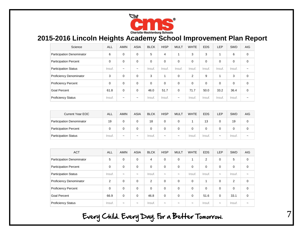

| Science                          | <b>ALL</b> | <b>AMIN</b>           | <b>ASIA</b>           | <b>BLCK</b> | <b>HISP</b> | <b>MULT</b>           | <b>WHTE</b>    | <b>EDS</b>  | <b>LEP</b>  | SWD      | <b>AIG</b>            |
|----------------------------------|------------|-----------------------|-----------------------|-------------|-------------|-----------------------|----------------|-------------|-------------|----------|-----------------------|
| <b>Participation Denominator</b> | 6          | 0                     | 0                     | 5           | 4           | $\mathbf{1}$          | 3              | 3           |             | 6        | 0                     |
| <b>Participation Percent</b>     | 0          | $\mathbf 0$           | $\mathbf 0$           | $\mathbf 0$ | 0           | 0                     | $\mathbf 0$    | $\mathbf 0$ | $\mathbf 0$ | 0        | $\mathbf 0$           |
| <b>Participation Status</b>      | Insuf.     | $\tilde{\phantom{a}}$ | $\tilde{\phantom{a}}$ | Insuf.      | Insuf.      | Insuf.                | Insuf.         | Insuf.      | Insuf.      | Insuf.   | $\tilde{\phantom{a}}$ |
| <b>Proficiency Denominator</b>   | 3          | $\mathbf 0$           | $\mathbf 0$           | 3           | и           | $\Omega$              | $\overline{2}$ | 9           | 4           | 3        | $\Omega$              |
| <b>Proficiency Percent</b>       | 0          | 0                     | 0                     | 0           | 0           | 0                     | 0              | $\Omega$    | $\Omega$    | $\Omega$ | 0                     |
| Goal Percent                     | 61.8       | 0                     | $\mathbf 0$           | 46.0        | 51.7        | $\Omega$              | 71.7           | 50.0        | 33.2        | 36.4     | $\mathbf 0$           |
| <b>Proficiency Status</b>        | Insuf.     | $\tilde{\phantom{a}}$ | $\tilde{\phantom{a}}$ | Insuf.      | Insuf.      | $\tilde{\phantom{a}}$ | Insuf.         | Insuf.      | Insuf.      | Insuf.   |                       |

| <b>Current Year EOC</b>      | <b>ALL</b> | AMIN                  | <b>ASIA</b>           | <b>BLCK</b> | <b>HISP</b>           | <b>MULT</b>           | <b>WHTE</b> | <b>EDS</b> | <b>LEP</b>            | <b>SWD</b> | <b>AIG</b>            |
|------------------------------|------------|-----------------------|-----------------------|-------------|-----------------------|-----------------------|-------------|------------|-----------------------|------------|-----------------------|
| Participation Denominator    | 19         |                       |                       | 18          |                       |                       |             | 13         |                       | 19         | 0                     |
| <b>Participation Percent</b> |            |                       |                       |             |                       |                       |             |            |                       |            |                       |
| <b>Participation Status</b>  | Insuf.     | $\tilde{\phantom{a}}$ | $\tilde{\phantom{a}}$ | Insuf.      | $\tilde{\phantom{a}}$ | $\tilde{\phantom{a}}$ | Insuf.      | Insuf.     | $\tilde{\phantom{a}}$ | Insuf.     | $\tilde{\phantom{a}}$ |

| <b>ACT</b>                     | <b>ALL</b>     | <b>AMIN</b>           | <b>ASIA</b>           | <b>BLCK</b>    | <b>HISP</b>           | <b>MULT</b>           | <b>WHTE</b>           | <b>EDS</b> | <b>LEP</b>            | SWD            | <b>AIG</b>  |
|--------------------------------|----------------|-----------------------|-----------------------|----------------|-----------------------|-----------------------|-----------------------|------------|-----------------------|----------------|-------------|
| Participation Denominator      | 5              | $\Omega$              | 0                     | $\overline{4}$ | $\mathbf 0$           | $\Omega$              |                       | 2          | $\mathbf 0$           | 5              | $\mathbf 0$ |
| <b>Participation Percent</b>   | $\Omega$       | 0                     | 0                     | 0              | $\mathbf 0$           | $\mathbf 0$           | 0                     | 0          | $\mathbf 0$           | 0              | $\mathbf 0$ |
| <b>Participation Status</b>    | Insuf.         | $\tilde{\phantom{a}}$ | $\tilde{\phantom{a}}$ | Insuf.         | $\tilde{\phantom{a}}$ | $\tilde{\phantom{a}}$ | Insuf.                | Insuf.     | $\tilde{\phantom{a}}$ | Insuf.         |             |
| <b>Proficiency Denominator</b> | $\overline{2}$ | $\Omega$              | $\Omega$              | $\overline{2}$ | $\Omega$              | $\Omega$              | $\Omega$              |            | $\Omega$              | $\overline{2}$ | $\mathbf 0$ |
| <b>Proficiency Percent</b>     | $\Omega$       | $\Omega$              | $\Omega$              | $\Omega$       | $\Omega$              | $\Omega$              | $\Omega$              | $\Omega$   | $\Omega$              | $\mathbf 0$    | $\mathbf 0$ |
| <b>Goal Percent</b>            | 66.9           | 0                     | 0                     | 46.8           | $\mathbf 0$           | 0                     | 0                     | 51.6       | $\mathbf 0$           | 33.1           | $\mathbf 0$ |
| <b>Proficiency Status</b>      | Insuf.         | $\tilde{\phantom{a}}$ | $\tilde{\phantom{a}}$ | Insuf.         | $\tilde{\phantom{a}}$ | $\tilde{\phantom{a}}$ | $\tilde{\phantom{a}}$ | Insuf.     | $\tilde{}$            | Insuf.         | ∼           |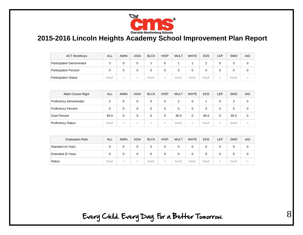

| <b>ACT WorkKeys</b>              | ALL    | <b>AMIN</b>           | <b>ASIA</b>           | <b>BLCK</b> | <b>HISP</b>           | <b>MULT</b> | <b>WHTE</b> | <b>EDS</b> | <b>LEP</b>            | SWD    | <b>AIG</b>            |
|----------------------------------|--------|-----------------------|-----------------------|-------------|-----------------------|-------------|-------------|------------|-----------------------|--------|-----------------------|
| <b>Participation Denominator</b> |        |                       |                       |             |                       |             |             |            |                       |        |                       |
| <b>Participation Percent</b>     |        |                       |                       |             |                       |             |             |            |                       |        |                       |
| <b>Participation Status</b>      | Insuf. | $\tilde{\phantom{a}}$ | $\tilde{\phantom{a}}$ | Insuf.      | $\tilde{\phantom{a}}$ | Insuf.      | Insuf.      | Insuf.     | $\tilde{\phantom{a}}$ | Insuf. | $\tilde{\phantom{a}}$ |

| Math Course Rigor              | <b>ALL</b> | <b>AMIN</b>           | <b>ASIA</b>           | <b>BLCK</b>           | <b>HISP</b>           | <b>MULT</b> | <b>WHTE</b>           | <b>EDS</b> | <b>LEP</b>            | <b>SWD</b> | <b>AIG</b>            |
|--------------------------------|------------|-----------------------|-----------------------|-----------------------|-----------------------|-------------|-----------------------|------------|-----------------------|------------|-----------------------|
| <b>Proficiency Denominator</b> | 2          |                       | 0                     |                       | 0                     | っ           | 0                     |            |                       | ◠          | 0                     |
| <b>Proficiency Percent</b>     |            |                       |                       |                       | 0                     | 0           | 0                     |            |                       |            |                       |
| <b>Goal Percent</b>            | 95.0       | 0                     | 0                     |                       | 0                     | 95.0        | 0                     | 95.0       | 0                     | 85.5       | 0                     |
| <b>Proficiency Status</b>      | Insuf.     | $\tilde{\phantom{a}}$ | $\tilde{\phantom{a}}$ | $\tilde{\phantom{a}}$ | $\tilde{\phantom{a}}$ | Insuf.      | $\tilde{\phantom{a}}$ | Insuf.     | $\tilde{\phantom{a}}$ | Insuf.     | $\tilde{\phantom{a}}$ |

| <b>Graduation Rate</b> | <b>ALL</b> | <b>AMIN</b>           | <b>ASIA</b>           | <b>BLCK</b> | <b>HISP</b>           | <b>MULT</b> | <b>WHTE</b> | <b>EDS</b> | <b>LEP</b>            | <b>SWD</b> | <b>AIG</b>            |
|------------------------|------------|-----------------------|-----------------------|-------------|-----------------------|-------------|-------------|------------|-----------------------|------------|-----------------------|
| Standard (4-Year)      |            |                       |                       |             |                       |             |             |            |                       |            | 0                     |
| Extended (5-Year)      |            |                       |                       |             |                       |             |             |            |                       |            |                       |
| <b>Status</b>          | Insuf.     | $\tilde{\phantom{a}}$ | $\tilde{\phantom{a}}$ | Insuf.      | $\tilde{\phantom{a}}$ | Insuf.      | Insuf.      | Insuf.     | $\tilde{\phantom{a}}$ | Insuf.     | $\tilde{\phantom{a}}$ |

Every Child. Every Day. For a Better Tomorrow.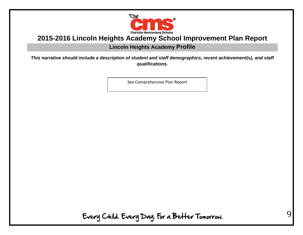

#### **Lincoln Heights Academy Profile**

*This narrative should include a description of student and staff demographics, recent achievement(s), and staff qualifications.*

See Comprehensive Plan Report

Every Child. Every Day. For a Better Tomorrow.

 $\mathbf Q$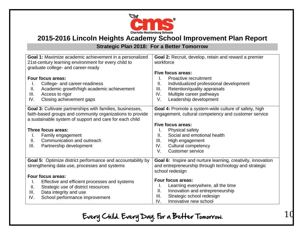

### **Strategic Plan 2018: For a Better Tomorrow**

| Goal 1: Maximize academic achievement in a personalized                                                                                                                                                                                                                                                   | <b>Goal 2:</b> Recruit, develop, retain and reward a premier                                                                                                                                                                                                                                         |
|-----------------------------------------------------------------------------------------------------------------------------------------------------------------------------------------------------------------------------------------------------------------------------------------------------------|------------------------------------------------------------------------------------------------------------------------------------------------------------------------------------------------------------------------------------------------------------------------------------------------------|
| 21st-century learning environment for every child to                                                                                                                                                                                                                                                      | workforce                                                                                                                                                                                                                                                                                            |
| graduate college- and career-ready                                                                                                                                                                                                                                                                        | Five focus areas:                                                                                                                                                                                                                                                                                    |
| Four focus areas:                                                                                                                                                                                                                                                                                         | Proactive recruitment                                                                                                                                                                                                                                                                                |
| College- and career-readiness                                                                                                                                                                                                                                                                             | Individualized professional development                                                                                                                                                                                                                                                              |
| Ι.                                                                                                                                                                                                                                                                                                        | Ш.                                                                                                                                                                                                                                                                                                   |
| Academic growth/high academic achievement                                                                                                                                                                                                                                                                 | III.                                                                                                                                                                                                                                                                                                 |
| Ⅱ.                                                                                                                                                                                                                                                                                                        | Retention/quality appraisals                                                                                                                                                                                                                                                                         |
| III.                                                                                                                                                                                                                                                                                                      | IV.                                                                                                                                                                                                                                                                                                  |
| Access to rigor                                                                                                                                                                                                                                                                                           | Multiple career pathways                                                                                                                                                                                                                                                                             |
| Closing achievement gaps                                                                                                                                                                                                                                                                                  | Leadership development                                                                                                                                                                                                                                                                               |
| IV.                                                                                                                                                                                                                                                                                                       | V.                                                                                                                                                                                                                                                                                                   |
| Goal 3: Cultivate partnerships with families, businesses,<br>faith-based groups and community organizations to provide<br>a sustainable system of support and care for each child<br>Three focus areas:<br>Family engagement<br>I.<br>Communication and outreach<br>Ш.<br>III.<br>Partnership development | Goal 4: Promote a system-wide culture of safety, high<br>engagement, cultural competency and customer service<br>Five focus areas:<br>Physical safety<br>Social and emotional health<br>Ш.<br>III.<br>High engagement<br>IV.<br><b>Cultural competency</b><br>$V_{\cdot}$<br><b>Customer service</b> |
| <b>Goal 5:</b> Optimize district performance and accountability by<br>strengthening data use, processes and systems                                                                                                                                                                                       | <b>Goal 6:</b> Inspire and nurture learning, creativity, innovation<br>and entrepreneurship through technology and strategic<br>school redesign                                                                                                                                                      |
| Four focus areas:                                                                                                                                                                                                                                                                                         | Four focus areas:                                                                                                                                                                                                                                                                                    |
| Effective and efficient processes and systems                                                                                                                                                                                                                                                             | Learning everywhere, all the time                                                                                                                                                                                                                                                                    |
| I.                                                                                                                                                                                                                                                                                                        | ı.                                                                                                                                                                                                                                                                                                   |
| Strategic use of district resources                                                                                                                                                                                                                                                                       | Innovation and entrepreneurship                                                                                                                                                                                                                                                                      |
| Ⅱ.                                                                                                                                                                                                                                                                                                        | Ш.                                                                                                                                                                                                                                                                                                   |
| III.                                                                                                                                                                                                                                                                                                      | Strategic school redesign                                                                                                                                                                                                                                                                            |
| Data integrity and use                                                                                                                                                                                                                                                                                    | III.                                                                                                                                                                                                                                                                                                 |
| School performance improvement                                                                                                                                                                                                                                                                            | Innovative new school                                                                                                                                                                                                                                                                                |
| IV.                                                                                                                                                                                                                                                                                                       | IV.                                                                                                                                                                                                                                                                                                  |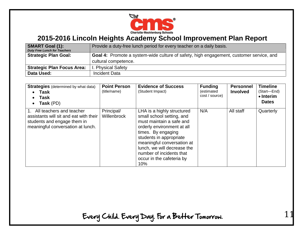

| <b>SMART Goal (1):</b><br><b>Duty Free Lunch for Teachers</b> | Provide a duty-free lunch period for every teacher on a daily basis.                    |
|---------------------------------------------------------------|-----------------------------------------------------------------------------------------|
| <b>Strategic Plan Goal:</b>                                   | Goal 4: Promote a system-wide culture of safety, high engagement, customer service, and |
|                                                               | cultural competence.                                                                    |
| <b>Strategic Plan Focus Area:</b>                             | I. Physical Safety                                                                      |
| Data Used:                                                    | <b>Incident Data</b>                                                                    |

| <b>Strategies</b> (determined by what data)<br>Task<br>Task<br>Task (PD)<br>$\bullet$                                                     | <b>Point Person</b><br>(title/name) | <b>Evidence of Success</b><br>(Student Impact)                                                                                                                                                                                                                                                  | <b>Funding</b><br>(estimated<br>cost / source) | <b>Personnel</b><br><b>Involved</b> | <b>Timeline</b><br>(Start-End)<br>$\bullet$ Interim<br><b>Dates</b> |
|-------------------------------------------------------------------------------------------------------------------------------------------|-------------------------------------|-------------------------------------------------------------------------------------------------------------------------------------------------------------------------------------------------------------------------------------------------------------------------------------------------|------------------------------------------------|-------------------------------------|---------------------------------------------------------------------|
| 1. All teachers and teacher<br>assistants will sit and eat with their<br>students and engage them in<br>meaningful conversation at lunch. | Principal/<br>Willenbrock           | LHA is a highly structured<br>small school setting, and<br>must maintain a safe and<br>orderly environment at all<br>times. By engaging<br>students in appropriate<br>meaningful conversation at<br>lunch, we will decrease the<br>number of incidents that<br>occur in the cafeteria by<br>10% | N/A                                            | All staff                           | Quarterly                                                           |

Every Child. Every Day. For a Better Tomorrow.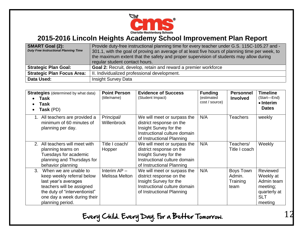

| <b>SMART Goal (2):</b><br><b>Duty Free Instructional Planning Time</b> | Provide duty-free instructional planning time for every teacher under G.S. 115C-105.27 and -<br>301.1, with the goal of proving an average of at least five hours of planning time per week, to<br>the maximum extent that the safety and proper supervision of students may allow during<br>regular student contact hours. |
|------------------------------------------------------------------------|-----------------------------------------------------------------------------------------------------------------------------------------------------------------------------------------------------------------------------------------------------------------------------------------------------------------------------|
| <b>Strategic Plan Goal:</b>                                            | Goal 2: Recruit, develop, retain and reward a premier workforce                                                                                                                                                                                                                                                             |
| <b>Strategic Plan Focus Area:</b>                                      | II. Individualized professional development.                                                                                                                                                                                                                                                                                |
| Data Used:                                                             | <b>Insight Survey Data</b>                                                                                                                                                                                                                                                                                                  |

| $\bullet$      | <b>Strategies</b> (determined by what data)<br>Task<br>Task<br>Task (PD)                                                                                                                     | <b>Point Person</b><br>(title/name) | <b>Evidence of Success</b><br>(Student Impact)                                                                                                 | <b>Funding</b><br>(estimated<br>cost / source) | <b>Personnel</b><br><b>Involved</b>     | <b>Timeline</b><br>(Start-End)<br>$\bullet$ Interim<br><b>Dates</b>                      |
|----------------|----------------------------------------------------------------------------------------------------------------------------------------------------------------------------------------------|-------------------------------------|------------------------------------------------------------------------------------------------------------------------------------------------|------------------------------------------------|-----------------------------------------|------------------------------------------------------------------------------------------|
|                | 1. All teachers are provided a<br>minimum of 60 minutes of<br>planning per day.                                                                                                              | Principal/<br>Willenbrock           | We will meet or surpass the<br>district response on the<br>Insight Survey for the<br>Instructional culture domain<br>of Instructional Planning | N/A                                            | <b>Teachers</b>                         | weekly                                                                                   |
|                | 2. All teachers will meet with<br>planning teams on<br>Tuesdays for academic<br>planning and Thursdays for<br>behavior planning                                                              | Title I coach/<br>Hopper            | We will meet or surpass the<br>district response on the<br>Insight Survey for the<br>Instructional culture domain<br>of Instructional Planning | N/A                                            | Teachers/<br>Title I coach              | Weekly                                                                                   |
| $\mathbf{3}$ . | When we are unable to<br>keep weekly referral below<br>last year's averages<br>teachers will be assigned<br>the duty of "interventionist"<br>one day a week during their<br>planning period. | Interim $AP -$<br>Melissa Melton    | We will meet or surpass the<br>district response on the<br>Insight Survey for the<br>Instructional culture domain<br>of Instructional Planning | N/A                                            | Boys Town<br>Admin.<br>Training<br>team | Reviewed<br>Weekly at<br>Admin team<br>meeting;<br>quarterly at<br><b>SLT</b><br>meeting |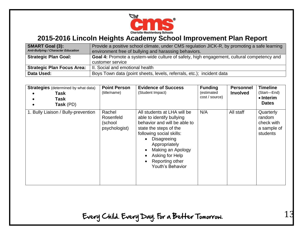

| <b>SMART Goal (3):</b><br>Anti-Bullying / Character Education | Provide a positive school climate, under CMS regulation JICK-R, by promoting a safe learning<br>environment free of bullying and harassing behaviors. |
|---------------------------------------------------------------|-------------------------------------------------------------------------------------------------------------------------------------------------------|
| <b>Strategic Plan Goal:</b>                                   | Goal 4: Promote a system-wide culture of safety, high engagement, cultural competency and                                                             |
|                                                               | customer service                                                                                                                                      |
| <b>Strategic Plan Focus Area:</b>                             | II. Social and emotional health                                                                                                                       |
| Data Used:                                                    | Boys Town data (point sheets, levels, referrals, etc.); incident data                                                                                 |

| <b>Strategies</b> (determined by what data)<br><b>Task</b><br>Task<br>Task (PD) | <b>Point Person</b><br>(title/name)             | <b>Evidence of Success</b><br>(Student Impact)                                                                                                                                                                                                                                                                    | <b>Funding</b><br>(estimated<br>cost / source) | <b>Personnel</b><br><b>Involved</b> | <b>Timeline</b><br>(Start-End)<br>• Interim<br><b>Dates</b>  |
|---------------------------------------------------------------------------------|-------------------------------------------------|-------------------------------------------------------------------------------------------------------------------------------------------------------------------------------------------------------------------------------------------------------------------------------------------------------------------|------------------------------------------------|-------------------------------------|--------------------------------------------------------------|
| 1. Bully Liaison / Bully-prevention                                             | Rachel<br>Rosenfeld<br>(school<br>psychologist) | All students at LHA will be<br>able to identify bullying<br>behavior and will be able to<br>state the steps of the<br>following social skills:<br>Disagreeing<br>$\bullet$<br>Appropriately<br>Making an Apology<br>$\bullet$<br>Asking for Help<br>$\bullet$<br>Reporting other<br>$\bullet$<br>Youth's Behavior | N/A                                            | All staff                           | Quarterly<br>random<br>check with<br>a sample of<br>students |

Every Child. Every Day. For a Better Tomorrow.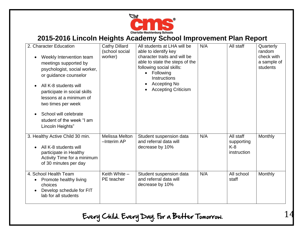

| 2. Character Education<br>Weekly Intervention team<br>$\bullet$<br>meetings supported by<br>psychologist, social worker,<br>or guidance counselor<br>All K-8 students will<br>$\bullet$<br>participate in social skills<br>lessons at a minimum of<br>two times per week<br>School will celebrate<br>$\bullet$<br>student of the week "I am<br>Lincoln Heights" | <b>Cathy Dillard</b><br>(school social<br>worker) | All students at LHA will be<br>able to identify key<br>character traits and will be<br>able to state the steps of the<br>following social skills:<br>Following<br>$\bullet$<br>Instructions<br>Accepting No<br>$\bullet$<br><b>Accepting Criticism</b> | N/A | All staff                                       | Quarterly<br>random<br>check with<br>a sample of<br>students |
|-----------------------------------------------------------------------------------------------------------------------------------------------------------------------------------------------------------------------------------------------------------------------------------------------------------------------------------------------------------------|---------------------------------------------------|--------------------------------------------------------------------------------------------------------------------------------------------------------------------------------------------------------------------------------------------------------|-----|-------------------------------------------------|--------------------------------------------------------------|
| 3. Healthy Active Child 30 min.<br>All K-8 students will<br>$\bullet$<br>participate in Healthy<br>Activity Time for a minimum<br>of 30 minutes per day                                                                                                                                                                                                         | <b>Melissa Melton</b><br>$-$ Interim AP           | Student suspension data<br>and referral data will<br>decrease by 10%                                                                                                                                                                                   | N/A | All staff<br>supporting<br>$K-8$<br>instruction | Monthly                                                      |
| 4. School Health Team<br><b>Promote healthy living</b><br>$\bullet$<br>choices<br>Develop schedule for FIT<br>lab for all students                                                                                                                                                                                                                              | Keith White $-$<br>PE teacher                     | Student suspension data<br>and referral data will<br>decrease by 10%                                                                                                                                                                                   | N/A | All school<br>staff                             | <b>Monthly</b>                                               |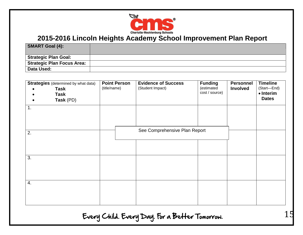

| <b>SMART Goal (4):</b>      |  |
|-----------------------------|--|
| <b>Strategic Plan Goal:</b> |  |
| Strategic Plan Focus Area:  |  |
| Data Used:                  |  |

| <b>Strategies</b> (determined by what data)<br>Task<br><b>Task</b><br>Task (PD)<br>1. | <b>Point Person</b><br>(title/name) | <b>Evidence of Success</b><br>(Student Impact) | <b>Funding</b><br>(estimated<br>cost / source) | <b>Personnel</b><br><b>Involved</b> | <b>Timeline</b><br>(Start-End)<br>$\bullet$ Interim<br><b>Dates</b> |
|---------------------------------------------------------------------------------------|-------------------------------------|------------------------------------------------|------------------------------------------------|-------------------------------------|---------------------------------------------------------------------|
| 2.                                                                                    |                                     | See Comprehensive Plan Report                  |                                                |                                     |                                                                     |
| 3.                                                                                    |                                     |                                                |                                                |                                     |                                                                     |
| 4.                                                                                    |                                     |                                                |                                                |                                     |                                                                     |

Every Child. Every Day. For a Better Tomorrow.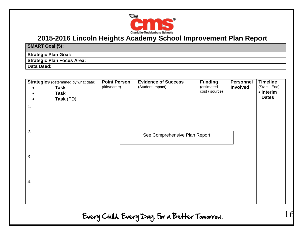

| <b>SMART Goal (5):</b>      |  |
|-----------------------------|--|
| <b>Strategic Plan Goal:</b> |  |
| Strategic Plan Focus Area:  |  |
| Data Used:                  |  |

| <b>Strategies</b> (determined by what data)<br><b>Task</b><br><b>Task</b><br>Task (PD)<br>$\bullet$<br>1. | <b>Point Person</b><br>(title/name) | <b>Evidence of Success</b><br>(Student Impact) | <b>Funding</b><br>(estimated<br>cost / source) | <b>Personnel</b><br><b>Involved</b> | <b>Timeline</b><br>(Start-End)<br>• Interim<br><b>Dates</b> |
|-----------------------------------------------------------------------------------------------------------|-------------------------------------|------------------------------------------------|------------------------------------------------|-------------------------------------|-------------------------------------------------------------|
| 2.                                                                                                        |                                     | See Comprehensive Plan Report                  |                                                |                                     |                                                             |
| $\overline{3}$ .                                                                                          |                                     |                                                |                                                |                                     |                                                             |
| 4.                                                                                                        |                                     |                                                |                                                |                                     |                                                             |

Every Child. Every Day. For a Better Tomorrow.

 $\mathbf{1}$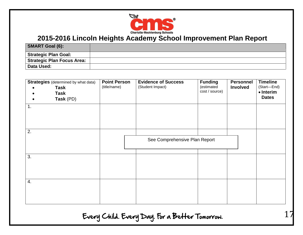

| <b>SMART Goal (6):</b>      |  |
|-----------------------------|--|
| <b>Strategic Plan Goal:</b> |  |
| Strategic Plan Focus Area:  |  |
| Data Used:                  |  |

| <b>Strategies</b> (determined by what data)<br>Task<br><b>Task</b><br>Task (PD)<br>$\bullet$<br>1. | <b>Point Person</b><br>(title/name) | <b>Evidence of Success</b><br>(Student Impact) | <b>Funding</b><br>(estimated<br>cost / source) | <b>Personnel</b><br><b>Involved</b> | <b>Timeline</b><br>(Start-End)<br>• Interim<br><b>Dates</b> |
|----------------------------------------------------------------------------------------------------|-------------------------------------|------------------------------------------------|------------------------------------------------|-------------------------------------|-------------------------------------------------------------|
|                                                                                                    |                                     |                                                |                                                |                                     |                                                             |
| 2.                                                                                                 |                                     | See Comprehensive Plan Report                  |                                                |                                     |                                                             |
| 3.                                                                                                 |                                     |                                                |                                                |                                     |                                                             |
| 4.                                                                                                 |                                     |                                                |                                                |                                     |                                                             |

Every Child. Every Day. For a Better Tomorrow.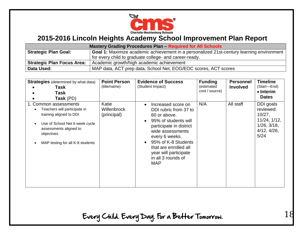

| <b>Mastery Grading Procedures Plan - Required for All Schools</b> |                                                                                                  |  |  |
|-------------------------------------------------------------------|--------------------------------------------------------------------------------------------------|--|--|
| <b>Strategic Plan Goal:</b>                                       | <b>Goal 1:</b> Maximize academic achievement in a personalized 21st-century learning environment |  |  |
|                                                                   | for every child to graduate college- and career-ready.                                           |  |  |
| <b>Strategic Plan Focus Area:</b>                                 | Academic growth/high academic achievement                                                        |  |  |
| Data Used:                                                        | MAP data, ACT prep data, School Net, EOG/EOC scores, ACT scores                                  |  |  |

| <b>Strategies</b> (determined by what data)<br>Task<br>Task<br>Task (PD)                                                                                                                       | <b>Point Person</b><br>(title/name) | <b>Evidence of Success</b><br>(Student Impact)                                                                                                                                                                                                                                 | <b>Funding</b><br>(estimated<br>cost / source) | <b>Personnel</b><br><b>Involved</b> | <b>Timeline</b><br>(Start-End)<br>$\bullet$ Interim<br><b>Dates</b>                            |
|------------------------------------------------------------------------------------------------------------------------------------------------------------------------------------------------|-------------------------------------|--------------------------------------------------------------------------------------------------------------------------------------------------------------------------------------------------------------------------------------------------------------------------------|------------------------------------------------|-------------------------------------|------------------------------------------------------------------------------------------------|
| 1. Common assessments<br>Teachers will participate in<br>training aligned to DDI<br>Use of School Net 6 week cycle<br>assessments aligned to<br>objectives<br>MAP testing for all K-8 students | Katie<br>Willenbrock<br>(principal) | Increased score on<br>$\bullet$<br>DDI rubric from 37 to<br>60 or above.<br>95% of students will<br>participate in district<br>wide assessments<br>every 6 weeks.<br>95% of K-8 Students<br>that are enrolled all<br>year will participate<br>in all 3 rounds of<br><b>MAP</b> | N/A                                            | All staff                           | DDI goals<br>reviewed:<br>10/27,<br>11/24, 1/12,<br>$1/26$ , $3/18$ ,<br>4/12, 4/26,<br>$5/24$ |

Every Child. Every Day. For a Better Tomorrow.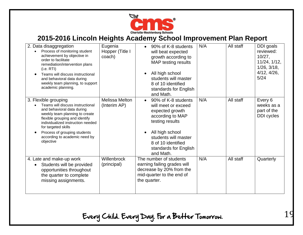

| 2. Data disaggregation<br>Process of monitoring student<br>achievement by objective in<br>order to facilitate<br>remediation/intervention plans<br>(i.e. RTI)<br>Teams will discuss instructional<br>and behavioral data during<br>weekly team planning, to support<br>academic planning.            | Eugenia<br>Hopper (Title I<br>coach) | 90% of K-8 students<br>$\bullet$<br>will beat expected<br>growth according to<br>MAP testing results<br>All high school<br>$\bullet$<br>students will master<br>8 of 10 identified<br>standards for English<br>and Math.              | N/A | All staff | DDI goals<br>reviewed:<br>10/27,<br>11/24, 1/12,<br>$1/26$ , $3/18$ ,<br>4/12, 4/26,<br>5/24 |
|------------------------------------------------------------------------------------------------------------------------------------------------------------------------------------------------------------------------------------------------------------------------------------------------------|--------------------------------------|---------------------------------------------------------------------------------------------------------------------------------------------------------------------------------------------------------------------------------------|-----|-----------|----------------------------------------------------------------------------------------------|
| 3. Flexible grouping<br>Teams will discuss instructional<br>and behavioral data during<br>weekly team planning to create<br>flexible grouping and identify<br>individualized instruction needed<br>for targeted skills<br>Process of grouping students<br>according to academic need by<br>objective | Melissa Melton<br>(Interim AP)       | 90% of K-8 students<br>$\bullet$<br>will meet or exceed<br>expected growth<br>according to MAP<br>testing results<br>All high school<br>$\bullet$<br>students will master<br>8 of 10 identified<br>standards for English<br>and Math. | N/A | All staff | Every 6<br>weeks as a<br>part of the<br><b>DDI</b> cycles                                    |
| 4. Late and make-up work<br>Students will be provided<br>$\bullet$<br>opportunities throughout<br>the quarter to complete<br>missing assignments.                                                                                                                                                    | Willenbrock<br>(principal)           | The number of students<br>earning failing grades will<br>decrease by 20% from the<br>mid-quarter to the end of<br>the quarter.                                                                                                        | N/A | All staff | Quarterly                                                                                    |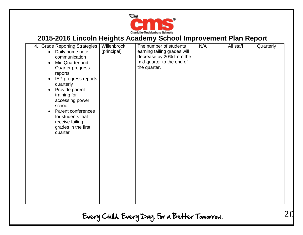

| 4. Grade Reporting Strategies   | Willenbrock | The number of students      | N/A | All staff | Quarterly |
|---------------------------------|-------------|-----------------------------|-----|-----------|-----------|
| Daily home note<br>$\bullet$    | (principal) | earning failing grades will |     |           |           |
| communication                   |             | decrease by 20% from the    |     |           |           |
| Mid Quarter and<br>$\bullet$    |             | mid-quarter to the end of   |     |           |           |
| Quarter progress                |             | the quarter.                |     |           |           |
| reports                         |             |                             |     |           |           |
| IEP progress reports            |             |                             |     |           |           |
|                                 |             |                             |     |           |           |
| quarterly                       |             |                             |     |           |           |
| Provide parent<br>$\bullet$     |             |                             |     |           |           |
| training for                    |             |                             |     |           |           |
| accessing power                 |             |                             |     |           |           |
| school.                         |             |                             |     |           |           |
| Parent conferences<br>$\bullet$ |             |                             |     |           |           |
| for students that               |             |                             |     |           |           |
| receive failing                 |             |                             |     |           |           |
| grades in the first             |             |                             |     |           |           |
| quarter                         |             |                             |     |           |           |
|                                 |             |                             |     |           |           |
|                                 |             |                             |     |           |           |
|                                 |             |                             |     |           |           |
|                                 |             |                             |     |           |           |
|                                 |             |                             |     |           |           |
|                                 |             |                             |     |           |           |
|                                 |             |                             |     |           |           |
|                                 |             |                             |     |           |           |
|                                 |             |                             |     |           |           |
|                                 |             |                             |     |           |           |
|                                 |             |                             |     |           |           |
|                                 |             |                             |     |           |           |
|                                 |             |                             |     |           |           |
|                                 |             |                             |     |           |           |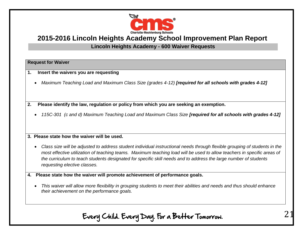

#### **Lincoln Heights Academy - 600 Waiver Requests**

#### **Request for Waiver**

- **1. Insert the waivers you are requesting**
	- *Maximum Teaching Load and Maximum Class Size (grades 4-12)* **[required for all schools with grades 4-12]**

**2. Please identify the law, regulation or policy from which you are seeking an exemption.**

*115C-301 (c and d) Maximum Teaching Load and Maximum Class Size [required for all schools with grades 4-12]*

#### **3. Please state how the waiver will be used.**

- *Class size will be adjusted to address student individual instructional needs through flexible grouping of students in the most effective utilization of teaching teams. Maximum teaching load will be used to allow teachers in specific areas of the curriculum to teach students designated for specific skill needs and to address the large number of students requesting elective classes.*
- **4. Please state how the waiver will promote achievement of performance goals.**
	- *This waiver will allow more flexibility in grouping students to meet their abilities and needs and thus should enhance their achievement on the performance goals.*

Every Child. Every Day. For a Better Tomorrow.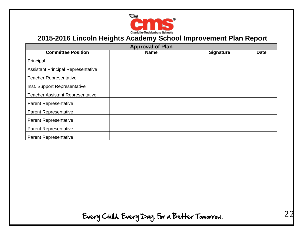

| <b>Approval of Plan</b>                   |             |                  |             |  |
|-------------------------------------------|-------------|------------------|-------------|--|
| <b>Committee Position</b>                 | <b>Name</b> | <b>Signature</b> | <b>Date</b> |  |
| Principal                                 |             |                  |             |  |
| <b>Assistant Principal Representative</b> |             |                  |             |  |
| <b>Teacher Representative</b>             |             |                  |             |  |
| Inst. Support Representative              |             |                  |             |  |
| <b>Teacher Assistant Representative</b>   |             |                  |             |  |
| <b>Parent Representative</b>              |             |                  |             |  |
| <b>Parent Representative</b>              |             |                  |             |  |
| <b>Parent Representative</b>              |             |                  |             |  |
| <b>Parent Representative</b>              |             |                  |             |  |
| <b>Parent Representative</b>              |             |                  |             |  |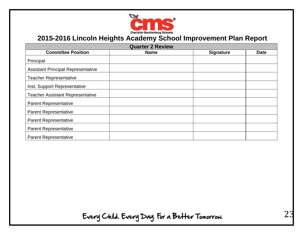

| <b>Quarter 2 Review</b>                   |             |                  |             |  |
|-------------------------------------------|-------------|------------------|-------------|--|
| <b>Committee Position</b>                 | <b>Name</b> | <b>Signature</b> | <b>Date</b> |  |
| Principal                                 |             |                  |             |  |
| <b>Assistant Principal Representative</b> |             |                  |             |  |
| <b>Teacher Representative</b>             |             |                  |             |  |
| Inst. Support Representative              |             |                  |             |  |
| <b>Teacher Assistant Representative</b>   |             |                  |             |  |
| <b>Parent Representative</b>              |             |                  |             |  |
| <b>Parent Representative</b>              |             |                  |             |  |
| <b>Parent Representative</b>              |             |                  |             |  |
| <b>Parent Representative</b>              |             |                  |             |  |
| <b>Parent Representative</b>              |             |                  |             |  |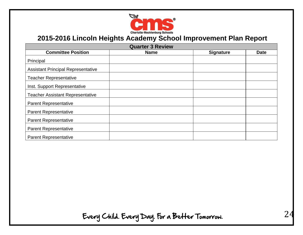

| <b>Quarter 3 Review</b>                   |             |                  |             |  |
|-------------------------------------------|-------------|------------------|-------------|--|
| <b>Committee Position</b>                 | <b>Name</b> | <b>Signature</b> | <b>Date</b> |  |
| Principal                                 |             |                  |             |  |
| <b>Assistant Principal Representative</b> |             |                  |             |  |
| <b>Teacher Representative</b>             |             |                  |             |  |
| Inst. Support Representative              |             |                  |             |  |
| <b>Teacher Assistant Representative</b>   |             |                  |             |  |
| <b>Parent Representative</b>              |             |                  |             |  |
| <b>Parent Representative</b>              |             |                  |             |  |
| <b>Parent Representative</b>              |             |                  |             |  |
| <b>Parent Representative</b>              |             |                  |             |  |
| <b>Parent Representative</b>              |             |                  |             |  |